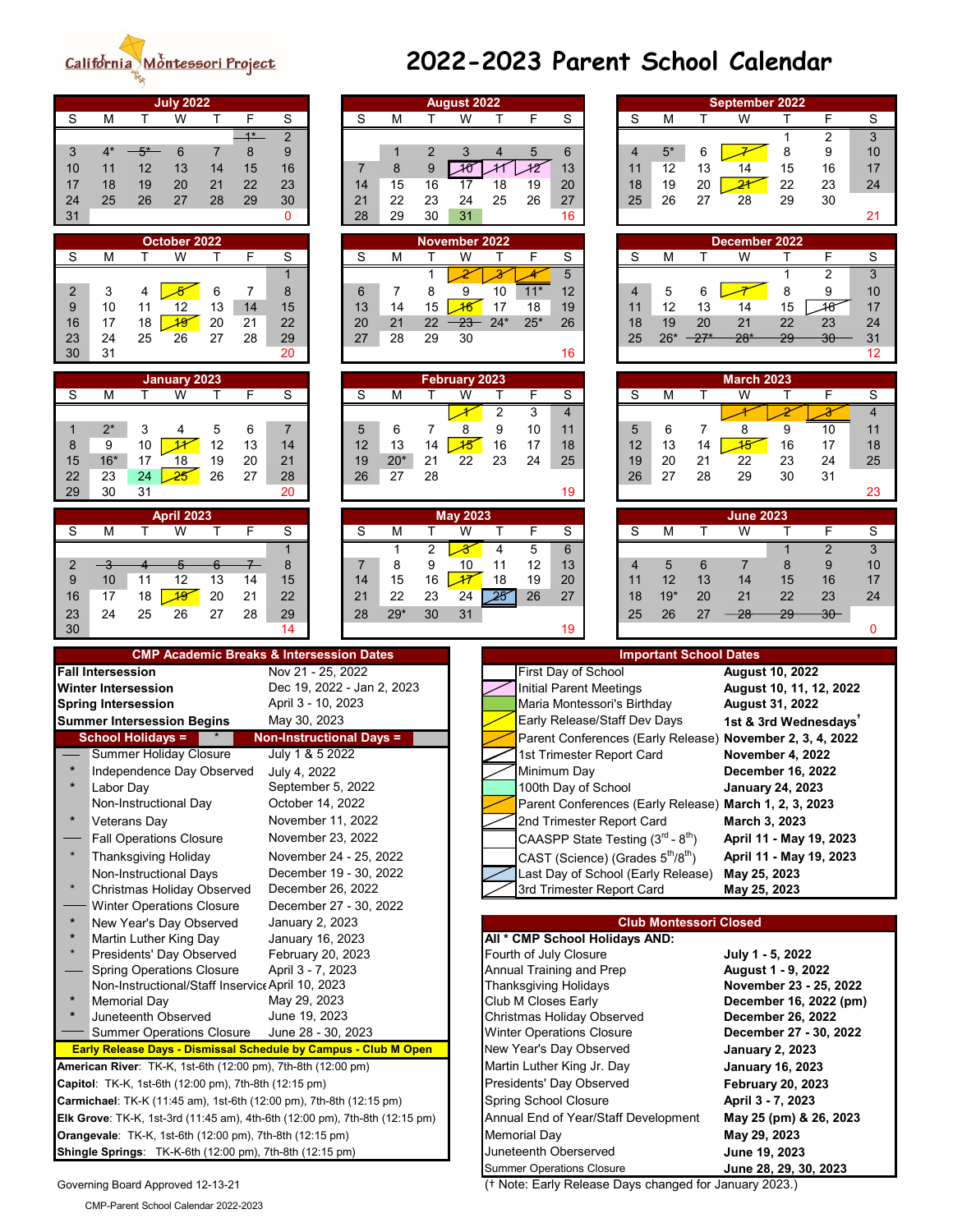### California <u>Mòntessori Project</u>

| <b>July 2022</b>                                                            |                                 |                |                       | <b>August 2022</b>                   |                     |                |                                                           |    |                |        | September 2022                                         |                          |                                                           |                          |
|-----------------------------------------------------------------------------|---------------------------------|----------------|-----------------------|--------------------------------------|---------------------|----------------|-----------------------------------------------------------|----|----------------|--------|--------------------------------------------------------|--------------------------|-----------------------------------------------------------|--------------------------|
| S<br>M<br>W<br>F<br>T.<br>Т                                                 | S                               | S              | M<br>т                | W                                    | T.                  | F              | S                                                         | S  | M              | Τ      | W                                                      | Τ                        | F                                                         | S                        |
| $1*$                                                                        | $\overline{2}$                  |                |                       |                                      |                     |                |                                                           |    |                |        |                                                        | 1                        | $\overline{2}$                                            | $\overline{3}$           |
| $4^*$<br>$5^*$<br>8<br>3<br>6<br>7                                          | 9                               |                | 2<br>1                | 3                                    | 4                   | 5              | $6\phantom{1}$                                            | 4  | $5^{\star}$    | 6      |                                                        | 8                        | 9                                                         | 1 <sub>1</sub>           |
| 11<br>12<br>13<br>15<br>10<br>14                                            | 16                              | $\overline{7}$ | 8<br>$\boldsymbol{9}$ | $\overline{\mathcal{A}\mathfrak{G}}$ | 41                  | 42             | 13                                                        | 11 | 12             | 13     | 14                                                     | 15                       | 16                                                        | 1                        |
|                                                                             |                                 |                |                       |                                      |                     |                |                                                           |    |                |        |                                                        |                          |                                                           |                          |
| 18<br>19<br>22<br>20<br>21<br>17                                            | 23                              | 14             | 15<br>16              | 17                                   | 18                  | 19             | 20                                                        | 18 | 19             | 20     | $\overline{21}$                                        | 22                       | 23                                                        | 2 <sub>4</sub>           |
| 25<br>26<br>29<br>24<br>27<br>28                                            | 30                              | 21             | 22<br>23              | 24                                   | 25                  | 26             | 27                                                        | 25 | 26             | 27     | 28                                                     | 29                       | 30                                                        |                          |
| 31                                                                          | $\mathbf{0}$                    | 28             | 29<br>30              | 31                                   |                     |                | 16                                                        |    |                |        |                                                        |                          |                                                           | $2^{\circ}$              |
|                                                                             |                                 |                |                       |                                      |                     |                |                                                           |    |                |        |                                                        |                          |                                                           |                          |
| October 2022                                                                |                                 |                |                       | <b>November 2022</b>                 |                     |                |                                                           |    |                |        | December 2022                                          |                          |                                                           |                          |
| W<br>F<br>S<br>M<br>T<br>T                                                  | S                               | S              | M<br>T                | W                                    | T                   | F              | S                                                         | S  | M              | T      | W                                                      | T                        | F                                                         | S                        |
|                                                                             |                                 |                | 1                     |                                      |                     | 4              | 5                                                         |    |                |        |                                                        |                          | $\overline{2}$                                            | $\overline{3}$           |
| 3<br>2<br>6<br>7<br>4                                                       | 8                               | 6              | 7<br>8                | 9                                    | 10                  | $11*$          | 12                                                        | 4  | 5              | 6      |                                                        | 8                        | 9                                                         | 1 <sub>1</sub>           |
| 10<br>13<br>9<br>12<br>11<br>14                                             | 15                              | 13             | 14<br>15              | $\overline{\mathcal{A}6}$            | 17                  | 18             | 19                                                        | 11 | 12             | 13     | 14                                                     | 15                       | 48                                                        | $1^{\circ}$              |
| $\overline{\mathcal{A}\mathcal{G}}$<br>18<br>17<br>20<br>21<br>16           | 22                              | 20             | 21<br>22              | $23 -$                               | $24*$               | $25*$          | 26                                                        | 18 | 19             | 20     | 21                                                     | 22                       | 23                                                        | 2 <sub>4</sub>           |
| 25<br>26<br>23<br>24<br>27<br>28                                            | 29                              | 27             | 28<br>29              | 30                                   |                     |                |                                                           | 25 | $26*$          | $-27*$ | $28*$                                                  | 29                       | 30                                                        | 3 <sup>°</sup>           |
| 30<br>31                                                                    | 20                              |                |                       |                                      |                     |                |                                                           |    |                |        |                                                        |                          |                                                           | $\ddot{\phantom{a}}$     |
|                                                                             |                                 |                |                       |                                      |                     |                | 16                                                        |    |                |        |                                                        |                          |                                                           |                          |
| <b>January 2023</b>                                                         |                                 |                |                       | <b>February 2023</b>                 |                     |                |                                                           |    |                |        | <b>March 2023</b>                                      |                          |                                                           |                          |
| ${\mathsf S}$<br>W<br>M<br>F.<br>Т                                          | $\overline{s}$                  | S              | M<br>т                | W                                    | Т                   | F              | S                                                         | S  | M              | T      | W                                                      | т                        | $\mathsf F$                                               | S                        |
|                                                                             |                                 |                |                       |                                      |                     |                |                                                           |    |                |        |                                                        |                          |                                                           |                          |
|                                                                             |                                 |                |                       | ≁                                    | $\overline{2}$      | $\overline{3}$ | $\overline{4}$                                            |    |                |        |                                                        |                          | $\overline{\mathbf{3}}$                                   | $\overline{\mathcal{A}}$ |
| $2^\star$<br>3<br>5<br>6<br>4                                               | $\overline{7}$                  | 5              | 6<br>7                | 8                                    | 9                   | 10             | 11                                                        | 5  | 6              | 7      | 8                                                      | 9                        | 10                                                        | $1^{\circ}$              |
| 10<br>$\overline{\mathcal{H}}$<br>12<br>9<br>8<br>13                        | 14                              | 12             | 13<br>14              | $\overline{\mathcal{A}}$             | 16                  | 17             | 18                                                        | 12 | 13             | 14     | $\overline{45}$                                        | 16                       | 17                                                        | 1 <sub>i</sub>           |
| $16*$<br>19<br>20<br>15<br>17<br>18                                         | 21                              | 19             | $20*$<br>21           | 22                                   | 23                  | 24             | 25                                                        | 19 | 20             | 21     | 22                                                     | 23                       | 24                                                        | 2 <sup>i</sup>           |
| 24<br>22<br>23<br>$\overline{25}$<br>26<br>27                               | 28                              | 26             | 28<br>27              |                                      |                     |                |                                                           | 26 | 27             | 28     | 29                                                     | 30                       | 31                                                        |                          |
| 29<br>30<br>31                                                              | 20                              |                |                       |                                      |                     |                | 19                                                        |    |                |        |                                                        |                          |                                                           | $\overline{2}$           |
|                                                                             |                                 |                |                       |                                      |                     |                |                                                           |    |                |        |                                                        |                          |                                                           |                          |
| <b>April 2023</b>                                                           |                                 |                |                       | <b>May 2023</b>                      |                     |                |                                                           |    |                |        | <b>June 2023</b>                                       |                          |                                                           |                          |
| W<br>F<br>S<br>M<br>т<br>T.                                                 | S                               | S              | M                     | W                                    |                     | F              | S                                                         | S  | M              |        | W                                                      |                          | F                                                         | S                        |
|                                                                             | $\mathbf{1}$                    |                | $\overline{2}$<br>1   | $\overline{\mathcal{X}}$             | 4                   | $\overline{5}$ | $6\overline{6}$                                           |    |                |        |                                                        |                          | $\overline{2}$                                            | ادن                      |
|                                                                             |                                 |                |                       |                                      |                     |                |                                                           |    |                |        |                                                        |                          |                                                           |                          |
| 2<br>$-\frac{3}{5}$<br>6                                                    | 8                               | $\overline{7}$ | 8<br>9                | 10                                   | 11                  | 12             | 13                                                        | 4  | $\overline{5}$ | 6      | 7                                                      | 8                        | 9                                                         | 1 <sub>1</sub>           |
| 9<br>10<br>12<br>13<br>11<br>14                                             | 15                              | 14             | 15<br>16              | $\overline{\mathcal{M}}$             | 18                  | 19             | 20                                                        | 11 | 12             | 13     | 14                                                     | 15                       | 16                                                        | 1                        |
| 18<br>$\overline{19}$<br>20<br>17<br>21<br>16                               | 22                              | 21             | 22<br>23              | 24                                   | $\overline{25}$     | 26             | 27                                                        | 18 | $19*$          | 20     | 21                                                     | 22                       | 23                                                        | 2 <sub>4</sub>           |
| 24<br>25<br>26<br>27<br>28<br>23                                            | 29                              | 28             | $29*$<br>30           | 31                                   |                     |                |                                                           | 25 | 26             | 27     | 28                                                     | 29                       | $30 -$                                                    |                          |
| 30                                                                          | 14                              |                |                       |                                      |                     |                | 19                                                        |    |                |        |                                                        |                          |                                                           | ۵                        |
|                                                                             |                                 |                |                       |                                      |                     |                |                                                           |    |                |        |                                                        |                          |                                                           |                          |
|                                                                             |                                 |                |                       |                                      |                     |                |                                                           |    |                |        |                                                        |                          |                                                           |                          |
| <b>CMP Academic Breaks &amp; Intersession Dates</b>                         |                                 |                |                       |                                      |                     |                |                                                           |    |                |        | <b>Important School Dates</b>                          |                          |                                                           |                          |
| <b>Fall Intersession</b>                                                    | Nov 21 - 25, 2022               |                |                       |                                      |                     |                | First Day of School                                       |    |                |        | <b>August 10, 2022</b>                                 |                          |                                                           |                          |
| <b>Winter Intersession</b>                                                  |                                 |                |                       |                                      |                     |                |                                                           |    |                |        |                                                        |                          |                                                           |                          |
|                                                                             | Dec 19, 2022 - Jan 2, 2023      |                |                       |                                      |                     |                | <b>Initial Parent Meetings</b>                            |    |                |        |                                                        |                          | August 10, 11, 12, 2022                                   |                          |
| <b>Spring Intersession</b>                                                  | April 3 - 10, 2023              |                |                       |                                      |                     |                | Maria Montessori's Birthday                               |    |                |        | <b>August 31, 2022</b>                                 |                          |                                                           |                          |
| <b>Summer Intersession Begins</b>                                           | May 30, 2023                    |                |                       |                                      |                     |                | Early Release/Staff Dev Days                              |    |                |        |                                                        |                          | 1st & 3rd Wednesdays <sup>+</sup>                         |                          |
| <b>School Holidays =</b>                                                    | <b>Non-Instructional Days =</b> |                |                       |                                      |                     |                |                                                           |    |                |        |                                                        |                          | Parent Conferences (Early Release) November 2, 3, 4, 2022 |                          |
| <b>Summer Holiday Closure</b>                                               | July 1 & 5 2022                 |                |                       |                                      |                     |                | 1st Trimester Report Card                                 |    |                |        | November 4, 2022                                       |                          |                                                           |                          |
| $\star$<br>Independence Day Observed                                        | July 4, 2022                    |                |                       |                                      |                     |                | Minimum Day                                               |    |                |        | <b>December 16, 2022</b>                               |                          |                                                           |                          |
|                                                                             |                                 |                |                       |                                      |                     |                |                                                           |    |                |        |                                                        |                          |                                                           |                          |
| Labor Day                                                                   | September 5, 2022               |                |                       |                                      |                     |                | 100th Day of School                                       |    |                |        | <b>January 24, 2023</b>                                |                          |                                                           |                          |
| Non-Instructional Day                                                       | October 14, 2022                |                |                       |                                      |                     |                |                                                           |    |                |        | Parent Conferences (Early Release) March 1, 2, 3, 2023 |                          |                                                           |                          |
| $\ast$<br><b>Veterans Day</b>                                               | November 11, 2022               |                |                       |                                      |                     |                | 2nd Trimester Report Card                                 |    |                |        | March 3, 2023                                          |                          |                                                           |                          |
| <b>Fall Operations Closure</b>                                              | November 23, 2022               |                |                       |                                      |                     |                | CAASPP State Testing $(3^{\text{rd}} - 8^{\text{th}})$    |    |                |        |                                                        |                          | April 11 - May 19, 2023                                   |                          |
| <b>Thanksgiving Holiday</b>                                                 | November 24 - 25, 2022          |                |                       |                                      |                     |                | CAST (Science) (Grades 5 <sup>th</sup> /8 <sup>th</sup> ) |    |                |        |                                                        |                          | April 11 - May 19, 2023                                   |                          |
|                                                                             |                                 |                |                       |                                      |                     |                |                                                           |    |                |        |                                                        |                          |                                                           |                          |
| <b>Non-Instructional Days</b><br>$\star$                                    | December 19 - 30, 2022          |                |                       |                                      |                     |                | Last Day of School (Early Release)                        |    |                |        | May 25, 2023                                           |                          |                                                           |                          |
| <b>Christmas Holiday Observed</b>                                           | December 26, 2022               |                |                       |                                      |                     |                | 3rd Trimester Report Card                                 |    |                |        | May 25, 2023                                           |                          |                                                           |                          |
| <b>Winter Operations Closure</b>                                            | December 27 - 30, 2022          |                |                       |                                      |                     |                |                                                           |    |                |        |                                                        |                          |                                                           |                          |
| $\ast$<br>New Year's Day Observed                                           | January 2, 2023                 |                |                       |                                      |                     |                |                                                           |    |                |        | <b>Club Montessori Closed</b>                          |                          |                                                           |                          |
| Martin Luther King Day                                                      | January 16, 2023                |                |                       |                                      |                     |                | All * CMP School Holidays AND:                            |    |                |        |                                                        |                          |                                                           |                          |
| Presidents' Day Observed                                                    | February 20, 2023               |                |                       |                                      |                     |                | Fourth of July Closure                                    |    |                |        | July 1 - 5, 2022                                       |                          |                                                           |                          |
|                                                                             |                                 |                |                       |                                      |                     |                |                                                           |    |                |        |                                                        |                          |                                                           |                          |
| <b>Spring Operations Closure</b>                                            | April 3 - 7, 2023               |                |                       |                                      |                     |                | Annual Training and Prep                                  |    |                |        | August 1 - 9, 2022                                     |                          |                                                           |                          |
| Non-Instructional/Staff Inservic April 10, 2023<br>$\star$                  |                                 |                |                       |                                      |                     |                | Thanksgiving Holidays                                     |    |                |        |                                                        |                          | November 23 - 25, 2022                                    |                          |
| <b>Memorial Day</b>                                                         | May 29, 2023                    |                |                       |                                      |                     |                | Club M Closes Early                                       |    |                |        |                                                        |                          | December 16, 2022 (pm)                                    |                          |
| Juneteenth Observed                                                         | June 19, 2023                   |                |                       |                                      |                     |                | <b>Christmas Holiday Observed</b>                         |    |                |        |                                                        | <b>December 26, 2022</b> |                                                           |                          |
| <b>Summer Operations Closure</b>                                            | June 28 - 30, 2023              |                |                       |                                      |                     |                | <b>Winter Operations Closure</b>                          |    |                |        |                                                        |                          | December 27 - 30, 2022                                    |                          |
| Early Release Days - Dismissal Schedule by Campus - Club M Open             |                                 |                |                       |                                      |                     |                | New Year's Day Observed                                   |    |                |        | <b>January 2, 2023</b>                                 |                          |                                                           |                          |
| American River: TK-K, 1st-6th (12:00 pm), 7th-8th (12:00 pm)                |                                 |                |                       |                                      |                     |                | Martin Luther King Jr. Day                                |    |                |        | <b>January 16, 2023</b>                                |                          |                                                           |                          |
|                                                                             |                                 |                |                       |                                      |                     |                |                                                           |    |                |        |                                                        |                          |                                                           |                          |
| Capitol: TK-K, 1st-6th (12:00 pm), 7th-8th (12:15 pm)                       |                                 |                |                       |                                      |                     |                | Presidents' Day Observed                                  |    |                |        | <b>February 20, 2023</b>                               |                          |                                                           |                          |
| Carmichael: TK-K (11:45 am), 1st-6th (12:00 pm), 7th-8th (12:15 pm)         |                                 |                |                       |                                      |                     |                | <b>Spring School Closure</b>                              |    |                |        | April 3 - 7, 2023                                      |                          |                                                           |                          |
| Elk Grove: TK-K, 1st-3rd (11:45 am), 4th-6th (12:00 pm), 7th-8th (12:15 pm) |                                 |                |                       |                                      |                     |                | Annual End of Year/Staff Development                      |    |                |        |                                                        |                          | May 25 (pm) & 26, 2023                                    |                          |
| Orangevale: TK-K, 1st-6th (12:00 pm), 7th-8th (12:15 pm)                    |                                 |                |                       |                                      | <b>Memorial Day</b> |                |                                                           |    |                |        | May 29, 2023                                           |                          |                                                           |                          |
| Shingle Springs: TK-K-6th (12:00 pm), 7th-8th (12:15 pm)                    |                                 |                |                       |                                      |                     |                | Juneteenth Oberserved                                     |    |                |        |                                                        | June 19, 2023            |                                                           |                          |

## **2022-2023 Parent School Calendar**

|             |                            |              | <b>July 2022</b>                                            |                       |            |                                                                          |          |          |          | <b>August 2022</b>             |                                |             |                              |                                |          |                                                           |              | <b>September 2022</b>                                   |         |                |                         |
|-------------|----------------------------|--------------|-------------------------------------------------------------|-----------------------|------------|--------------------------------------------------------------------------|----------|----------|----------|--------------------------------|--------------------------------|-------------|------------------------------|--------------------------------|----------|-----------------------------------------------------------|--------------|---------------------------------------------------------|---------|----------------|-------------------------|
| S           | M                          | $\mathsf{T}$ | W                                                           | $\mathsf{T}$          | F          | S                                                                        | S        | M        | T.       | W                              | Τ                              | F           | S                            |                                | S        | M                                                         | $\mathsf{T}$ | W                                                       | T       | F              | S                       |
|             |                            |              |                                                             |                       | $1*$       | $\overline{2}$                                                           |          |          |          |                                |                                |             |                              |                                |          |                                                           |              |                                                         | 1       | 2              | 3                       |
| 3           | $4^*$                      | $5*$         | 6                                                           | $\overline{7}$        | 8          | $\boldsymbol{9}$                                                         |          | 1        | 2        | 3                              | 4                              | 5           | 6                            |                                | 4        | $5^{\ast}$                                                | 6            |                                                         | 8       | 9              | 10                      |
| 10          | 11                         | 12           | 13                                                          | 14                    | 15         | 16                                                                       | 7        | 8        | 9        | $\overline{\mathcal{M}}$       | 41                             | $+2$        | 13                           |                                | 11       | 12                                                        | 13           | 14                                                      | 15      | 16             | 17                      |
| 17          | 18                         | 19           | 20                                                          | 21                    | 22         | 23                                                                       | 14       | 15       | 16       | 17                             | 18                             | 19          | 20                           |                                | 18       | 19                                                        | 20           | $\overline{21}$                                         | 22      | 23             | 24                      |
| 24<br>31    | 25                         | 26           | 27                                                          | 28                    | 29         | 30<br>$\Omega$                                                           | 21<br>28 | 22<br>29 | 23<br>30 | 24<br>31                       | 25                             | 26          | 27<br>16                     |                                | 25       | 26                                                        | 27           | 28                                                      | 29      | 30             | 21                      |
|             |                            |              |                                                             |                       |            |                                                                          |          |          |          |                                |                                |             |                              |                                |          |                                                           |              |                                                         |         |                |                         |
|             |                            |              | October 2022                                                |                       |            |                                                                          |          |          |          | <b>November 2022</b>           |                                |             |                              |                                |          |                                                           |              | December 2022                                           |         |                |                         |
| S           | M                          | т            | W                                                           | Τ                     | F.         | S                                                                        | S        | M        |          | W                              | Т                              | F           | S                            |                                | S        | M                                                         | т            | W                                                       | т       | F              | S                       |
|             |                            |              |                                                             |                       |            | 1                                                                        |          |          | 1        |                                | $\overline{\mathscr{X}}$       | 4           | 5                            |                                |          |                                                           |              |                                                         | 1       | $\overline{2}$ | $\overline{3}$          |
| 2<br>9      | 3<br>10                    | 4<br>11      | 12                                                          | 6<br>13               | 7<br>14    | 8<br>15                                                                  | 6<br>13  | 7<br>14  | 8<br>15  | 9<br>$\overline{\mathcal{A}6}$ | 10<br>17                       | $11*$<br>18 | 12<br>19                     |                                | 4<br>11  | 5<br>12                                                   | 6<br>13      | 14                                                      | 8<br>15 | 9<br>48        | 10<br>17                |
| 16          | 17                         | 18           | $\overline{\mathcal{A}}$                                    | 20                    | 21         | 22                                                                       | 20       | 21       | 22       | 23                             | $24*$                          | $25*$       | 26                           |                                | 18       | 19                                                        | 20           | 21                                                      | 22      | 23             | 24                      |
| 23          | 24                         | 25           | 26                                                          | 27                    | 28         | 29                                                                       | 27       | 28       | 29       | 30                             |                                |             |                              |                                | 25       | $26*$                                                     | $27*$        | $28*$                                                   | 29      | 30             | 31                      |
| 30          | 31                         |              |                                                             |                       |            | 20                                                                       |          |          |          |                                |                                |             | 16                           |                                |          |                                                           |              |                                                         |         |                | 12                      |
|             |                            |              | January 2023                                                |                       |            |                                                                          |          |          |          | <b>February 2023</b>           |                                |             |                              |                                |          |                                                           |              | <b>March 2023</b>                                       |         |                |                         |
| S           | M                          | т            | W                                                           | т                     | F          | S                                                                        | S        | M        |          | W                              | т                              | F           | S                            |                                | S        | M                                                         | т            | W                                                       | т       | F              | S                       |
|             |                            |              |                                                             |                       |            |                                                                          |          |          |          |                                | $\overline{2}$                 | 3           | $\overline{4}$               |                                |          |                                                           |              |                                                         |         |                | $\overline{4}$          |
| $\mathbf 1$ | $2^*$                      | 3            | 4                                                           | 5                     | 6          | $\overline{7}$                                                           | 5        | 6        | 7        | 8                              | 9                              | 10          | 11                           |                                | 5        | 6                                                         | 7            | 8                                                       | 9       | 10             | 11                      |
| 8           | 9                          | 10           | $\mathcal{H}$                                               | 12                    | 13         | 14                                                                       | 12       | 13       | 14       | $\overline{\mathcal{A}}$       | 16                             | 17          | 18                           |                                | 12       | 13                                                        | 14           | $\overline{45}$                                         | 16      | 17             | 18                      |
| 15          | $16*$                      | 17           | 18                                                          | 19                    | 20         | 21                                                                       | 19       | $20*$    | 21       | 22                             | 23                             | 24          | 25                           |                                | 19       | 20                                                        | 21           | 22                                                      | 23      | 24             | 25                      |
| 22          | 23                         | 24           | 25                                                          | 26                    | 27         | 28                                                                       | 26       | 27       | 28       |                                |                                |             |                              |                                | 26       | 27                                                        | 28           | 29                                                      | 30      | 31             |                         |
| 29          | 30                         | 31           |                                                             |                       |            | 20                                                                       |          |          |          |                                |                                |             | 19                           |                                |          |                                                           |              |                                                         |         |                | 23                      |
|             |                            |              | <b>April 2023</b>                                           |                       |            |                                                                          |          |          |          | <b>May 2023</b>                |                                |             |                              |                                |          |                                                           |              | <b>June 2023</b>                                        |         |                |                         |
| S           | M                          | т            | W                                                           | Τ                     | F          | S                                                                        | S        | M        | т        | W                              | т                              | F           | S                            |                                | S        | M                                                         | T            | W                                                       | т       | F              | $\overline{\mathsf{s}}$ |
|             |                            |              |                                                             |                       |            | 1                                                                        |          | 1        | 2        | $\overline{\mathcal{X}}$       | 4                              | 5           | 6                            |                                |          |                                                           |              |                                                         | 1       | $\overline{2}$ | 3                       |
| 2           | $-3$<br>10                 | 4            | 5<br>12                                                     | $6\overline{6}$<br>13 | $7-$<br>14 | 8<br>15                                                                  | 7<br>14  | 8<br>15  | 9<br>16  | 10<br>$\overline{\mathcal{M}}$ | 11<br>18                       | 12<br>19    | 13<br>20                     |                                | 4        | 5<br>12                                                   | 6            | 7                                                       | 8<br>15 | 9              | 10<br>17                |
| 9<br>16     | 17                         | 11<br>18     | $\overline{49}$                                             | 20                    | 21         | 22                                                                       | 21       | 22       | 23       | 24                             | $\overline{25}$                | 26          | 27                           |                                | 11<br>18 | $19*$                                                     | 13<br>20     | 14<br>21                                                | 22      | 16<br>23       | 24                      |
| 23          | 24                         | 25           | 26                                                          | 27                    | 28         | 29                                                                       | 28       | $29*$    | 30       | 31                             |                                |             |                              |                                | 25       | 26                                                        | 27           | 28                                                      | 29      | $30 -$         |                         |
| 30          |                            |              |                                                             |                       |            | 14                                                                       |          |          |          |                                |                                |             | 19                           |                                |          |                                                           |              |                                                         |         |                | 0                       |
|             |                            |              |                                                             |                       |            |                                                                          |          |          |          |                                |                                |             |                              |                                |          |                                                           |              |                                                         |         |                |                         |
|             | <b>Fall Intersession</b>   |              |                                                             |                       |            | <b>CMP Academic Breaks &amp; Intersession Dates</b><br>Nov 21 - 25, 2022 |          |          |          |                                |                                |             |                              | First Day of School            |          |                                                           |              | <b>Important School Dates</b><br><b>August 10, 2022</b> |         |                |                         |
|             | <b>Winter Intersession</b> |              |                                                             |                       |            | Dec 19, 2022 - Jan 2, 2023                                               |          |          |          |                                |                                |             |                              | <b>Initial Parent Meetings</b> |          |                                                           |              | August 10, 11, 12, 2022                                 |         |                |                         |
|             | <b>Spring Intersession</b> |              |                                                             |                       |            | April 3 - 10, 2023                                                       |          |          |          |                                |                                |             |                              | Maria Montessori's Birthday    |          |                                                           |              | <b>August 31, 2022</b>                                  |         |                |                         |
|             |                            |              | <b>Summer Intersession Begins</b>                           |                       |            | May 30, 2023                                                             |          |          |          |                                |                                |             |                              | Early Release/Staff Dev Days   |          |                                                           |              | 1st & 3rd Wednesdays <sup>+</sup>                       |         |                |                         |
|             | <b>School Holidays =</b>   |              |                                                             |                       |            | <b>Non-Instructional Days =</b>                                          |          |          |          |                                |                                |             |                              |                                |          | Parent Conferences (Early Release)                        |              | November 2, 3, 4, 2022                                  |         |                |                         |
|             |                            |              | <b>Summer Holiday Closure</b>                               |                       |            | July 1 & 5 2022                                                          |          |          |          |                                |                                |             |                              | 1st Trimester Report Card      |          |                                                           |              | November 4, 2022                                        |         |                |                         |
|             |                            |              | Independence Day Observed                                   |                       |            | July 4, 2022                                                             |          |          |          |                                |                                |             | Minimum Day                  |                                |          |                                                           |              | <b>December 16, 2022</b>                                |         |                |                         |
|             | Labor Day                  |              |                                                             |                       |            | September 5, 2022                                                        |          |          |          |                                |                                |             |                              | 100th Day of School            |          |                                                           |              | <b>January 24, 2023</b>                                 |         |                |                         |
|             |                            |              | Non-Instructional Day                                       |                       |            | October 14, 2022                                                         |          |          |          |                                |                                |             |                              |                                |          |                                                           |              | Parent Conferences (Early Release) March 1, 2, 3, 2023  |         |                |                         |
| $\ast$      | <b>Veterans Day</b>        |              |                                                             |                       |            | November 11, 2022                                                        |          |          |          |                                |                                |             |                              | 2nd Trimester Report Card      |          |                                                           |              | March 3, 2023                                           |         |                |                         |
|             |                            |              | <b>Fall Operations Closure</b>                              |                       |            | November 23, 2022                                                        |          |          |          |                                |                                |             |                              |                                |          | CAASPP State Testing $(3^{\text{rd}} - 8^{\text{th}})$    |              | April 11 - May 19, 2023                                 |         |                |                         |
|             |                            |              | <b>Thanksgiving Holiday</b>                                 |                       |            | November 24 - 25, 2022                                                   |          |          |          |                                |                                |             |                              |                                |          | CAST (Science) (Grades 5 <sup>th</sup> /8 <sup>th</sup> ) |              | April 11 - May 19, 2023                                 |         |                |                         |
|             |                            |              | <b>Non-Instructional Days</b>                               |                       |            | December 19 - 30, 2022<br>December 26, 2022                              |          |          |          |                                |                                |             |                              |                                |          | Last Day of School (Early Release)                        |              | May 25, 2023                                            |         |                |                         |
|             |                            |              | <b>Christmas Holiday Observed</b>                           |                       |            |                                                                          |          |          |          |                                |                                |             |                              | 3rd Trimester Report Card      |          |                                                           |              | May 25, 2023                                            |         |                |                         |
|             |                            |              | <b>Winter Operations Closure</b><br>New Year's Day Observed |                       |            | December 27 - 30, 2022<br>January 2, 2023                                |          |          |          |                                |                                |             |                              |                                |          |                                                           |              | <b>Club Montessori Closed</b>                           |         |                |                         |
|             |                            |              | Martin Luther King Day                                      |                       |            | January 16, 2023                                                         |          |          |          |                                | All * CMP School Holidays AND: |             |                              |                                |          |                                                           |              |                                                         |         |                |                         |
|             |                            |              | Presidents' Day Observed                                    |                       |            | February 20, 2023                                                        |          |          |          |                                |                                |             | Fourth of July Closure       |                                |          |                                                           |              | July 1 - 5, 2022                                        |         |                |                         |
|             |                            |              | <b>Spring Operations Closure</b>                            |                       |            | April 3 - 7, 2023                                                        |          |          |          |                                |                                |             |                              | Annual Training and Prep       |          |                                                           |              | August 1 - 9, 2022                                      |         |                |                         |
|             |                            |              |                                                             |                       |            | Non-Instructional/Staff Inservic April 10, 2023                          |          |          |          |                                |                                |             | <b>Thanksgiving Holidays</b> |                                |          |                                                           |              | November 23 - 25, 2022                                  |         |                |                         |
|             | <b>Memorial Day</b>        |              |                                                             |                       |            | May 29, 2023                                                             |          |          |          |                                |                                |             | Club M Closes Early          |                                |          |                                                           |              | December 16, 2022 (pm)                                  |         |                |                         |

| <b>Spring Operations Closure</b>                                    | April 3 - 7, 2023                                                           | Annual Training and Prep             | August 1 - 9, 2022       |
|---------------------------------------------------------------------|-----------------------------------------------------------------------------|--------------------------------------|--------------------------|
| Non-Instructional/Staff Inservic April 10, 2023                     |                                                                             | <b>Thanksgiving Holidays</b>         | November 23 - 25, 2022   |
| Memorial Day                                                        | May 29, 2023                                                                | Club M Closes Early                  | December 16, 2022 (pm)   |
| Juneteenth Observed                                                 | June 19, 2023                                                               | <b>Christmas Holiday Observed</b>    | <b>December 26, 2022</b> |
| Summer Operations Closure                                           | June 28 - 30, 2023                                                          | <b>Winter Operations Closure</b>     | December 27 - 30, 2022   |
|                                                                     | <b>Early Release Days - Dismissal Schedule by Campus - Club M Open</b>      | New Year's Day Observed              | <b>January 2, 2023</b>   |
| <b>American River:</b> TK-K, 1st-6th (12:00 pm), 7th-8th (12:00 pm) |                                                                             | Martin Luther King Jr. Day           | <b>January 16, 2023</b>  |
| Capitol: TK-K, 1st-6th (12:00 pm), 7th-8th (12:15 pm)               |                                                                             | Presidents' Day Observed             | <b>February 20, 2023</b> |
| Carmichael: TK-K (11:45 am), 1st-6th (12:00 pm), 7th-8th (12:15 pm) |                                                                             | <b>Spring School Closure</b>         | April 3 - 7, 2023        |
|                                                                     | Elk Grove: TK-K, 1st-3rd (11:45 am), 4th-6th (12:00 pm), 7th-8th (12:15 pm) | Annual End of Year/Staff Development | May 25 (pm) & 26, 2023   |
| Orangevale: TK-K, 1st-6th (12:00 pm), 7th-8th (12:15 pm)            |                                                                             | Memorial Day                         | May 29, 2023             |
| Shingle Springs: TK-K-6th (12:00 pm), 7th-8th (12:15 pm)            |                                                                             | Juneteenth Oberserved                | June 19, 2023            |
|                                                                     |                                                                             | <b>Summer Operations Closure</b>     | June 28, 29, 30, 2023    |

Governing Board Approved 12-13-21 († Note: Early Release Days changed for January 2023.)

CMP-Parent School Calendar 2022-2023